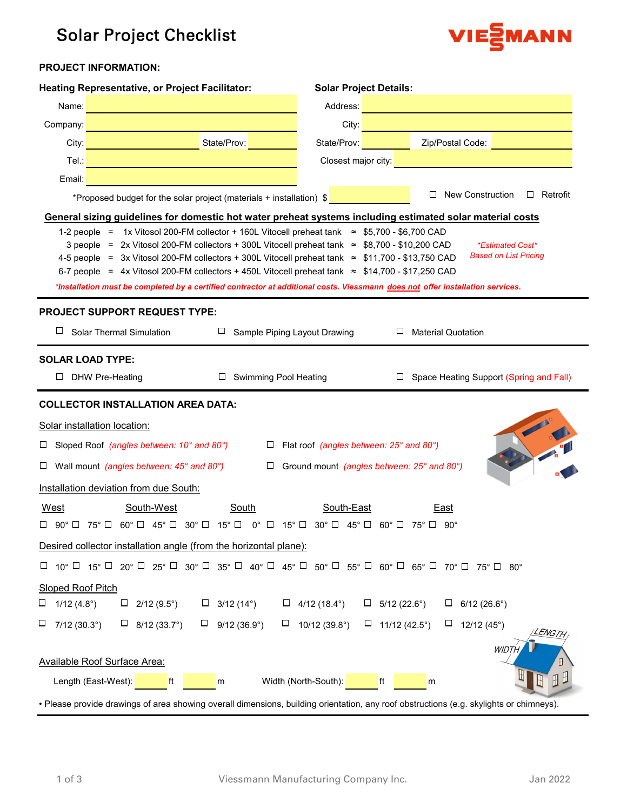# Solar Project Checklist



### **PROJECT INFORMATION:**

| Address: New York Change and Change and Change and Change and Change and Change and Change and Change and Change and<br>Name:<br><u> 1989 - Johann Barnett, fransk politiker (</u><br>Company:<br>City:<br><u> 1980 - Jan Barat, martin amerikan ba</u><br><u> 1990 - Johann Barnett, fransk politik (</u><br>State/Prov:<br>State/Prov: Zip/Postal Code: Entertainment of the State Australian Code:<br>City:<br>Closest major city:<br>Tel∴ I<br>Email:<br>$\Box$ New Construction<br>$\Box$ Retrofit<br>*Proposed budget for the solar project (materials + installation) $\$<br>General sizing guidelines for domestic hot water preheat systems including estimated solar material costs<br>1-2 people = 1x Vitosol 200-FM collector + 160L Vitocell preheat tank ≈ \$5,700 - \$6,700 CAD<br>3 people = 2x Vitosol 200-FM collectors + 300L Vitocell preheat tank ≈ \$8,700 - \$10,200 CAD<br><i>*Estimated Cost*</i> |  |  |  |  |  |  |  |  |  |
|----------------------------------------------------------------------------------------------------------------------------------------------------------------------------------------------------------------------------------------------------------------------------------------------------------------------------------------------------------------------------------------------------------------------------------------------------------------------------------------------------------------------------------------------------------------------------------------------------------------------------------------------------------------------------------------------------------------------------------------------------------------------------------------------------------------------------------------------------------------------------------------------------------------------------|--|--|--|--|--|--|--|--|--|
|                                                                                                                                                                                                                                                                                                                                                                                                                                                                                                                                                                                                                                                                                                                                                                                                                                                                                                                            |  |  |  |  |  |  |  |  |  |
|                                                                                                                                                                                                                                                                                                                                                                                                                                                                                                                                                                                                                                                                                                                                                                                                                                                                                                                            |  |  |  |  |  |  |  |  |  |
|                                                                                                                                                                                                                                                                                                                                                                                                                                                                                                                                                                                                                                                                                                                                                                                                                                                                                                                            |  |  |  |  |  |  |  |  |  |
|                                                                                                                                                                                                                                                                                                                                                                                                                                                                                                                                                                                                                                                                                                                                                                                                                                                                                                                            |  |  |  |  |  |  |  |  |  |
|                                                                                                                                                                                                                                                                                                                                                                                                                                                                                                                                                                                                                                                                                                                                                                                                                                                                                                                            |  |  |  |  |  |  |  |  |  |
|                                                                                                                                                                                                                                                                                                                                                                                                                                                                                                                                                                                                                                                                                                                                                                                                                                                                                                                            |  |  |  |  |  |  |  |  |  |
| <b>Based on List Pricing</b><br>4-5 people = 3x Vitosol 200-FM collectors + 300L Vitocell preheat tank ≈ \$11,700 - \$13,750 CAD<br>6-7 people = $4x$ Vitosol 200-FM collectors + 450L Vitocell preheat tank $\approx$ \$14,700 - \$17,250 CAD<br>*Installation must be completed by a certified contractor at additional costs. Viessmann does not offer installation services.                                                                                                                                                                                                                                                                                                                                                                                                                                                                                                                                           |  |  |  |  |  |  |  |  |  |
| PROJECT SUPPORT REQUEST TYPE:<br>Solar Thermal Simulation<br>$\Box$ Sample Piping Layout Drawing<br>ப<br><b>Material Quotation</b>                                                                                                                                                                                                                                                                                                                                                                                                                                                                                                                                                                                                                                                                                                                                                                                         |  |  |  |  |  |  |  |  |  |
| <b>SOLAR LOAD TYPE:</b><br>□ DHW Pre-Heating<br>□ Swimming Pool Heating<br>□ Space Heating Support (Spring and Fall)                                                                                                                                                                                                                                                                                                                                                                                                                                                                                                                                                                                                                                                                                                                                                                                                       |  |  |  |  |  |  |  |  |  |
| <b>COLLECTOR INSTALLATION AREA DATA:</b>                                                                                                                                                                                                                                                                                                                                                                                                                                                                                                                                                                                                                                                                                                                                                                                                                                                                                   |  |  |  |  |  |  |  |  |  |
| Solar installation location:                                                                                                                                                                                                                                                                                                                                                                                                                                                                                                                                                                                                                                                                                                                                                                                                                                                                                               |  |  |  |  |  |  |  |  |  |
| $\Box$ Sloped Roof (angles between: 10° and 80°)<br>$\Box$ Flat roof (angles between: 25° and 80°)                                                                                                                                                                                                                                                                                                                                                                                                                                                                                                                                                                                                                                                                                                                                                                                                                         |  |  |  |  |  |  |  |  |  |
| Wall mount (angles between: 45° and 80°)<br>$\Box$ Ground mount (angles between: 25° and 80°)<br>⊔                                                                                                                                                                                                                                                                                                                                                                                                                                                                                                                                                                                                                                                                                                                                                                                                                         |  |  |  |  |  |  |  |  |  |
| Installation deviation from due South:                                                                                                                                                                                                                                                                                                                                                                                                                                                                                                                                                                                                                                                                                                                                                                                                                                                                                     |  |  |  |  |  |  |  |  |  |
| West<br>South-West<br>South-East<br>South<br>East                                                                                                                                                                                                                                                                                                                                                                                                                                                                                                                                                                                                                                                                                                                                                                                                                                                                          |  |  |  |  |  |  |  |  |  |
| $\Box$ 90° $\Box$ 75° $\Box$ 60° $\Box$ 45° $\Box$ 30° $\Box$ 15° $\Box$ 0° $\Box$ 15° $\Box$ 30° $\Box$ 45° $\Box$ 60° $\Box$ 75° $\Box$ 90°                                                                                                                                                                                                                                                                                                                                                                                                                                                                                                                                                                                                                                                                                                                                                                              |  |  |  |  |  |  |  |  |  |
| Desired collector installation angle (from the horizontal plane):                                                                                                                                                                                                                                                                                                                                                                                                                                                                                                                                                                                                                                                                                                                                                                                                                                                          |  |  |  |  |  |  |  |  |  |
| $\Box$ 10° $\Box$ 15° $\Box$ 20° $\Box$ 25° $\Box$ 30° $\Box$ 35° $\Box$ 40° $\Box$ 45° $\Box$ 50° $\Box$ 55° $\Box$ 60° $\Box$ 65° $\Box$ 70° $\Box$ 75° $\Box$ 80°                                                                                                                                                                                                                                                                                                                                                                                                                                                                                                                                                                                                                                                                                                                                                       |  |  |  |  |  |  |  |  |  |
| Sloped Roof Pitch<br>$\Box$ 3/12 (14°)<br>$\Box$ 4/12 (18.4°)<br>$\Box$ 5/12 (22.6°)<br>1/12 $(4.8^\circ)$<br>$\Box$ 2/12 (9.5°)<br>$\Box$ 6/12 (26.6°)<br>$\Box$                                                                                                                                                                                                                                                                                                                                                                                                                                                                                                                                                                                                                                                                                                                                                          |  |  |  |  |  |  |  |  |  |
| $\Box$ 11/12 (42.5°)<br>$\Box$ 8/12 (33.7°)<br>$\Box$ 9/12 (36.9°)<br>$\Box$ 10/12 (39.8°)<br>$\Box$ 12/12 (45°)<br>Ц<br>$7/12(30.3^\circ)$                                                                                                                                                                                                                                                                                                                                                                                                                                                                                                                                                                                                                                                                                                                                                                                |  |  |  |  |  |  |  |  |  |
|                                                                                                                                                                                                                                                                                                                                                                                                                                                                                                                                                                                                                                                                                                                                                                                                                                                                                                                            |  |  |  |  |  |  |  |  |  |
| LENGTH<br><b>Available Roof Surface Area:</b><br>Width (North-South):<br>ft<br>ft<br>Length (East-West):<br>m<br>m                                                                                                                                                                                                                                                                                                                                                                                                                                                                                                                                                                                                                                                                                                                                                                                                         |  |  |  |  |  |  |  |  |  |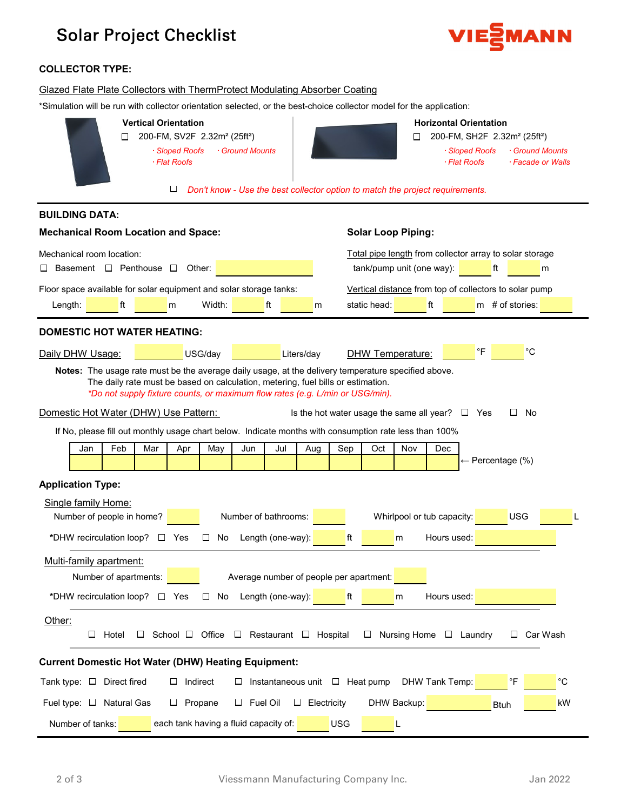# Solar Project Checklist



#### **COLLECTOR TYPE:**

#### Glazed Flate Plate Collectors with ThermProtect Modulating Absorber Coating

\*Simulation will be run with collector orientation selected, or the best-choice collector model for the application:

|                                                                                                                                                                                                                                                                                                                                                                                                                                                                                                   |     | $\mathsf{L}$ | <b>Vertical Orientation</b>                                                                                                      | · Sloped Roofs<br>· Flat Roofs | 200-FM, SV2F 2.32m <sup>2</sup> (25ft <sup>2</sup> ) | <b>Ground Mounts</b>                                                                                                         |                                        |                                         |          |              | $\mathsf{L}$                         | <b>Horizontal Orientation</b> | · Sloped Roofs<br>· Flat Roofs |                   | 200-FM, SH2F 2.32m <sup>2</sup> (25ft <sup>2</sup> )<br><b>Ground Mounts</b><br>· Facade or Walls |             |
|---------------------------------------------------------------------------------------------------------------------------------------------------------------------------------------------------------------------------------------------------------------------------------------------------------------------------------------------------------------------------------------------------------------------------------------------------------------------------------------------------|-----|--------------|----------------------------------------------------------------------------------------------------------------------------------|--------------------------------|------------------------------------------------------|------------------------------------------------------------------------------------------------------------------------------|----------------------------------------|-----------------------------------------|----------|--------------|--------------------------------------|-------------------------------|--------------------------------|-------------------|---------------------------------------------------------------------------------------------------|-------------|
| ⊔<br>Don't know - Use the best collector option to match the project requirements.                                                                                                                                                                                                                                                                                                                                                                                                                |     |              |                                                                                                                                  |                                |                                                      |                                                                                                                              |                                        |                                         |          |              |                                      |                               |                                |                   |                                                                                                   |             |
| <b>BUILDING DATA:</b>                                                                                                                                                                                                                                                                                                                                                                                                                                                                             |     |              |                                                                                                                                  |                                |                                                      |                                                                                                                              |                                        |                                         |          |              |                                      |                               |                                |                   |                                                                                                   |             |
| <b>Mechanical Room Location and Space:</b><br>Mechanical room location:<br>Basement □ Penthouse □<br>Other:                                                                                                                                                                                                                                                                                                                                                                                       |     |              |                                                                                                                                  |                                |                                                      | <b>Solar Loop Piping:</b><br>Total pipe length from collector array to solar storage<br>tank/pump unit (one way):<br>ft<br>m |                                        |                                         |          |              |                                      |                               |                                |                   |                                                                                                   |             |
| Floor space available for solar equipment and solar storage tanks:<br>Vertical distance from top of collectors to solar pump                                                                                                                                                                                                                                                                                                                                                                      |     |              |                                                                                                                                  |                                |                                                      |                                                                                                                              |                                        |                                         |          |              |                                      |                               |                                |                   |                                                                                                   |             |
| Length:                                                                                                                                                                                                                                                                                                                                                                                                                                                                                           |     | ft           |                                                                                                                                  | m                              | Width:                                               |                                                                                                                              | ft                                     | m                                       |          | static head: |                                      | ft                            |                                | $m$ # of stories: |                                                                                                   |             |
| <b>DOMESTIC HOT WATER HEATING:</b>                                                                                                                                                                                                                                                                                                                                                                                                                                                                |     |              |                                                                                                                                  |                                |                                                      |                                                                                                                              |                                        |                                         |          |              |                                      |                               |                                |                   |                                                                                                   |             |
| Daily DHW Usage:                                                                                                                                                                                                                                                                                                                                                                                                                                                                                  |     |              |                                                                                                                                  |                                | USG/day                                              |                                                                                                                              |                                        | Liters/day                              |          |              | <b>DHW Temperature:</b>              |                               | °F                             |                   | °C                                                                                                |             |
| Notes: The usage rate must be the average daily usage, at the delivery temperature specified above.<br>The daily rate must be based on calculation, metering, fuel bills or estimation.<br>*Do not supply fixture counts, or maximum flow rates (e.g. L/min or USG/min).<br>Domestic Hot Water (DHW) Use Pattern:<br>Is the hot water usage the same all year? $\square$ Yes<br>No<br>ப<br>If No, please fill out monthly usage chart below. Indicate months with consumption rate less than 100% |     |              |                                                                                                                                  |                                |                                                      |                                                                                                                              |                                        |                                         |          |              |                                      |                               |                                |                   |                                                                                                   |             |
|                                                                                                                                                                                                                                                                                                                                                                                                                                                                                                   | Jan | Feb          | Mar                                                                                                                              | Apr                            | May                                                  | Jun                                                                                                                          | Jul                                    | Aug                                     | Sep      | Oct          | Nov                                  | Dec                           |                                | ← Percentage (%)  |                                                                                                   |             |
| <b>Application Type:</b><br>Single family Home:<br>Multi-family apartment:                                                                                                                                                                                                                                                                                                                                                                                                                        |     |              | Number of people in home?<br>*DHW recirculation loop? □ Yes<br>Number of apartments:<br>*DHW recirculation loop?<br><u> </u> Yes |                                | $\square$ No<br>$\square$ No                         | Number of bathrooms:                                                                                                         | Length (one-way):<br>Length (one-way): | Average number of people per apartment: | ft<br>ft |              | Whirlpool or tub capacity:<br>m<br>m | Hours used:<br>Hours used:    |                                |                   | <b>USG</b>                                                                                        |             |
| Other:<br>Hotel<br>School $\Box$ Office $\Box$<br>Restaurant<br>$\Box$ Hospital<br>Nursing Home<br>$\Box$ Laundry<br>Car Wash<br>$\Box$<br>⊔ ⊢<br>$\Box$<br>⊔                                                                                                                                                                                                                                                                                                                                     |     |              |                                                                                                                                  |                                |                                                      |                                                                                                                              |                                        |                                         |          |              |                                      |                               |                                |                   |                                                                                                   |             |
| <b>Current Domestic Hot Water (DHW) Heating Equipment:</b>                                                                                                                                                                                                                                                                                                                                                                                                                                        |     |              |                                                                                                                                  |                                |                                                      |                                                                                                                              |                                        |                                         |          |              |                                      |                               |                                |                   |                                                                                                   |             |
| Tank type: □ Direct fired                                                                                                                                                                                                                                                                                                                                                                                                                                                                         |     |              |                                                                                                                                  | $\Box$ Indirect                |                                                      | ш                                                                                                                            |                                        | Instantaneous unit $\Box$ Heat pump     |          |              |                                      | DHW Tank Temp:                |                                | $\mathsf{P}$      |                                                                                                   | $^{\circ}C$ |
| Fuel type: $\Box$ Natural Gas                                                                                                                                                                                                                                                                                                                                                                                                                                                                     |     |              |                                                                                                                                  | $\Box$ Propane                 |                                                      | $\Box$                                                                                                                       | Fuel Oil                               | $\Box$ Electricity                      |          |              | DHW Backup:                          |                               |                                | <b>Btuh</b>       |                                                                                                   | kW          |
| Number of tanks:                                                                                                                                                                                                                                                                                                                                                                                                                                                                                  |     |              |                                                                                                                                  |                                |                                                      | each tank having a fluid capacity of:                                                                                        |                                        |                                         | USG      |              | L                                    |                               |                                |                   |                                                                                                   |             |